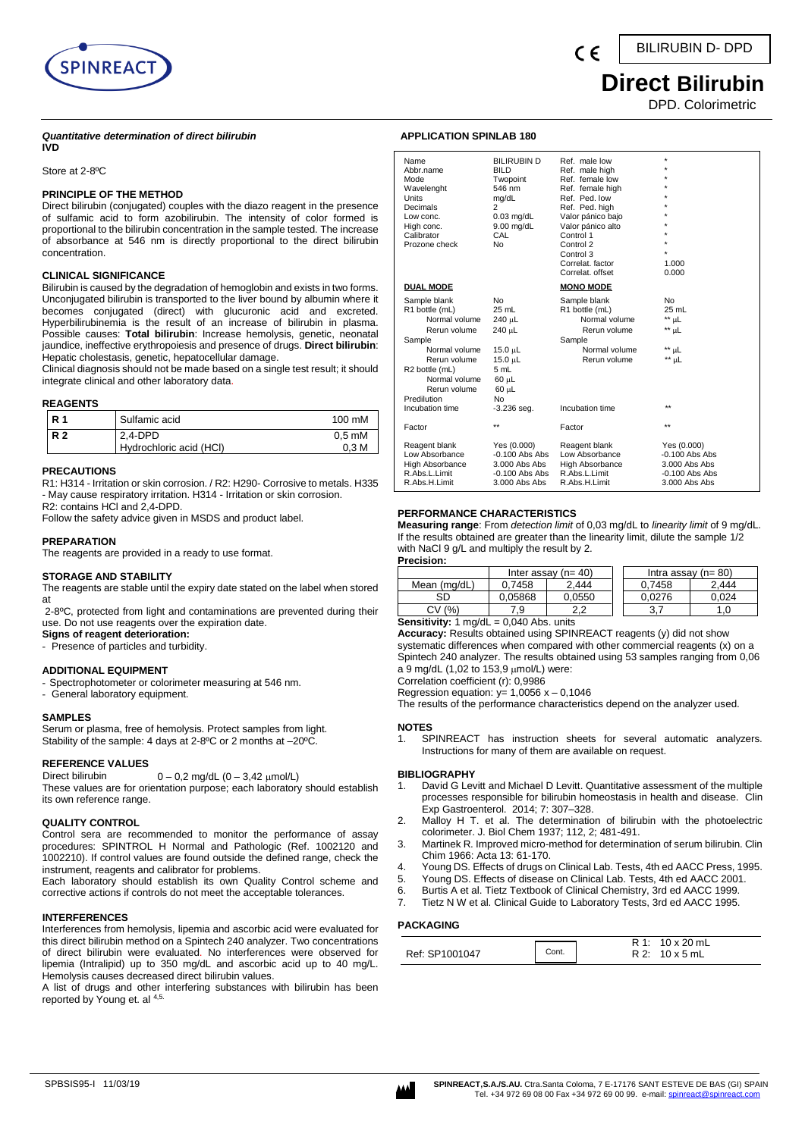

#### *Quantitative determination of direct bilirubin* **IVD**

Store at 2-8ºC

# **PRINCIPLE OF THE METHOD**

Direct bilirubin (conjugated) couples with the diazo reagent in the presence of sulfamic acid to form azobilirubin. The intensity of color formed is proportional to the bilirubin concentration in the sample tested. The increase of absorbance at 546 nm is directly proportional to the direct bilirubin concentration.

# **CLINICAL SIGNIFICANCE**

Bilirubin is caused by the degradation of hemoglobin and exists in two forms. Unconjugated bilirubin is transported to the liver bound by albumin where it becomes conjugated (direct) with glucuronic acid and excreted. Hyperbilirubinemia is the result of an increase of bilirubin in plasma. Possible causes: **Total bilirubin**: Increase hemolysis, genetic, neonatal jaundice, ineffective erythropoiesis and presence of drugs. **Direct bilirubin**: Hepatic cholestasis, genetic, hepatocellular damage.

Clinical diagnosis should not be made based on a single test result; it should integrate clinical and other laboratory data.

# **REAGENTS**

| R <sub>1</sub> | Sulfamic acid           | 100 mM           |
|----------------|-------------------------|------------------|
| R <sub>2</sub> | 2.4-DPD                 | $0.5 \text{ mM}$ |
|                | Hydrochloric acid (HCI) | 0.3 <sub>M</sub> |

# **PRECAUTIONS**

R1: H314 - Irritation or skin corrosion. / R2: H290- Corrosive to metals. H335 - May cause respiratory irritation. H314 - Irritation or skin corrosion.

R2: contains HCl and 2,4-DPD. Follow the safety advice given in MSDS and product label.

# **PREPARATION**

The reagents are provided in a ready to use format.

# **STORAGE AND STABILITY**

The reagents are stable until the expiry date stated on the label when stored at

2-8ºC, protected from light and contaminations are prevented during their use. Do not use reagents over the expiration date.

- **Signs of reagent deterioration:**
- Presence of particles and turbidity.

# **ADDITIONAL EQUIPMENT**

- Spectrophotometer or colorimeter measuring at 546 nm.
- General laboratory equipment.

# **SAMPLES**

Serum or plasma, free of hemolysis. Protect samples from light. Stability of the sample: 4 days at 2-8ºC or 2 months at –20ºC.

**REFERENCE VALUES**  $0 - 0.2$  mg/dL  $(0 - 3.42 \mu$ mol/L)

These values are for orientation purpose; each laboratory should establish its own reference range.

# **QUALITY CONTROL**

Control sera are recommended to monitor the performance of assay procedures: SPINTROL H Normal and Pathologic (Ref. 1002120 and 1002210). If control values are found outside the defined range, check the instrument, reagents and calibrator for problems.

Each laboratory should establish its own Quality Control scheme and corrective actions if controls do not meet the acceptable tolerances.

# **INTERFERENCES**

Interferences from hemolysis, lipemia and ascorbic acid were evaluated for this direct bilirubin method on a Spintech 240 analyzer. Two concentrations of direct bilirubin were evaluated. No interferences were observed for lipemia (Intralipid) up to 350 mg/dL and ascorbic acid up to 40 mg/L. Hemolysis causes decreased direct bilirubin values.

A list of drugs and other interfering substances with bilirubin has been reported by Young et. al 4,5.

# **APPLICATION SPINLAB 180**

| Name<br>Abbr.name<br>Mode<br>Wavelenght<br>Units<br>Decimals<br>Low conc.<br>High conc.<br>Calibrator<br>Prozone check                                                                          | <b>BILIRUBIN D</b><br><b>BILD</b><br>Twopoint<br>546 nm<br>mg/dL<br>$\overline{2}$<br>$0.03$ mg/dL<br>$9.00$ mg/dL<br>CAL<br>N <sub>0</sub> | Ref. male low<br>Ref. male high<br>Ref. female low<br>Ref. female high<br>Ref. Ped. low<br>Ref. Ped. high<br>Valor pánico bajo<br>Valor pánico alto<br>Control 1<br>Control 2<br>Control 3<br>Correlat, factor<br>Correlat, offset | ÷<br>÷<br>÷<br>÷<br>÷<br>÷<br>÷<br>1.000<br>0.000                                     |
|-------------------------------------------------------------------------------------------------------------------------------------------------------------------------------------------------|---------------------------------------------------------------------------------------------------------------------------------------------|------------------------------------------------------------------------------------------------------------------------------------------------------------------------------------------------------------------------------------|---------------------------------------------------------------------------------------|
| <b>DUAL MODE</b>                                                                                                                                                                                |                                                                                                                                             | <b>MONO MODE</b>                                                                                                                                                                                                                   |                                                                                       |
| Sample blank<br>R1 bottle (mL)<br>Normal volume<br>Rerun volume<br>Sample<br>Normal volume<br>Rerun volume<br>R2 bottle (mL)<br>Normal volume<br>Rerun volume<br>Predilution<br>Incubation time | No<br>25 mL<br>240 µL<br>240 uL<br>15.0 µL<br>15.0 µL<br>5 mL<br>$60$ $\mu$ L<br>60 µL<br>No<br>$-3.236$ seg.                               | Sample blank<br>R1 bottle (mL)<br>Normal volume<br>Rerun volume<br>Sample<br>Normal volume<br>Rerun volume<br>Incubation time                                                                                                      | No.<br>25 mL<br>** µL<br>** µL<br>** µL<br>** µL<br>$**$                              |
| Factor                                                                                                                                                                                          | $\star\star$                                                                                                                                | Factor                                                                                                                                                                                                                             | $\star\star$                                                                          |
| Reagent blank<br>Low Absorbance<br><b>High Absorbance</b><br>R.Abs.L.Limit<br>R.Abs.H.Limit                                                                                                     | Yes (0.000)<br>$-0.100$ Abs Abs<br>3.000 Abs Abs<br>$-0.100$ Abs Abs<br>3.000 Abs Abs                                                       | Reagent blank<br>Low Absorbance<br><b>High Absorbance</b><br>R.Abs.L.Limit<br>R.Abs.H.Limit                                                                                                                                        | Yes (0.000)<br>$-0.100$ Abs Abs<br>3.000 Abs Abs<br>$-0.100$ Abs Abs<br>3.000 Abs Abs |

 $\epsilon$ 

# **PERFORMANCE CHARACTERISTICS**

**Measuring range**: From *detection limit* of 0,03 mg/dL to *linearity limit* of 9 mg/dL. If the results obtained are greater than the linearity limit, dilute the sample 1/2 with NaCl 9 g/L and multiply the result by 2. **Precision:**

|  | recision: |  |  |  |  |
|--|-----------|--|--|--|--|
|  |           |  |  |  |  |

|              | Inter assay $(n=40)$                           |              |  | Intra assay $(n=80)$ |       |  |  |
|--------------|------------------------------------------------|--------------|--|----------------------|-------|--|--|
| Mean (mg/dL) | 0.7458                                         | 2.444        |  | 0.7458               | 2.444 |  |  |
| SD           | 0.05868                                        | 0.0550       |  | 0.0276               | 0.024 |  |  |
| CV (%)       | 7.9                                            | າາ<br>$\sim$ |  | J.                   |       |  |  |
|              | <b>Sensitivity:</b> 1 $modd = 0.040$ Abs units |              |  |                      |       |  |  |

**Sensitivity:** 1 mg/dL = 0,040 Abs. units

**Accuracy:** Results obtained using SPINREACT reagents (y) did not show systematic differences when compared with other commercial reagents (x) on a Spintech 240 analyzer. The results obtained using 53 samples ranging from 0,06 a 9 mg/dL (1,02 to 153,9  $\mu$ mol/L) were:

Correlation coefficient (r): 0,9986

Regression equation:  $y= 1,0056 x - 0,1046$ The results of the performance characteristics depend on the analyzer used.

#### **NOTES**

1. SPINREACT has instruction sheets for several automatic analyzers. Instructions for many of them are available on request.

#### **BIBLIOGRAPHY**

- 1. [David G Levitt](https://www.ncbi.nlm.nih.gov/pubmed/?term=Levitt%20DG%5BAuthor%5D&cauthor=true&cauthor_uid=25214800) an[d Michael D Levitt.](https://www.ncbi.nlm.nih.gov/pubmed/?term=Levitt%20MD%5BAuthor%5D&cauthor=true&cauthor_uid=25214800) Quantitative assessment of the multiple processes responsible for bilirubin homeostasis in health and disease. [Clin](https://www.ncbi.nlm.nih.gov/pmc/articles/PMC4159128/)  [Exp Gastroenterol.](https://www.ncbi.nlm.nih.gov/pmc/articles/PMC4159128/) 2014; 7: 307–328.
- 2. Malloy H T. et al. The determination of bilirubin with the photoelectric colorimeter. J. Biol Chem 1937; 112, 2; 481-491.
- 3. Martinek R. Improved micro-method for determination of serum bilirubin. Clin Chim 1966: Acta 13: 61-170.
- 4. Young DS. Effects of drugs on Clinical Lab. Tests, 4th ed AACC Press, 1995.
- Young DS. Effects of disease on Clinical Lab. Tests, 4th ed AACC 2001.
- 6. Burtis A et al. Tietz Textbook of Clinical Chemistry, 3rd ed AACC 1999.
- 7. Tietz N W et al. Clinical Guide to Laboratory Tests, 3rd ed AACC 1995.

# **PACKAGING**

|                |       | R 1: 10 x 20 mL      |
|----------------|-------|----------------------|
| Ref: SP1001047 | Cont. | $R2: 10 \times 5$ mL |

# **Direct Bilirubin**

DPD. Colorimetric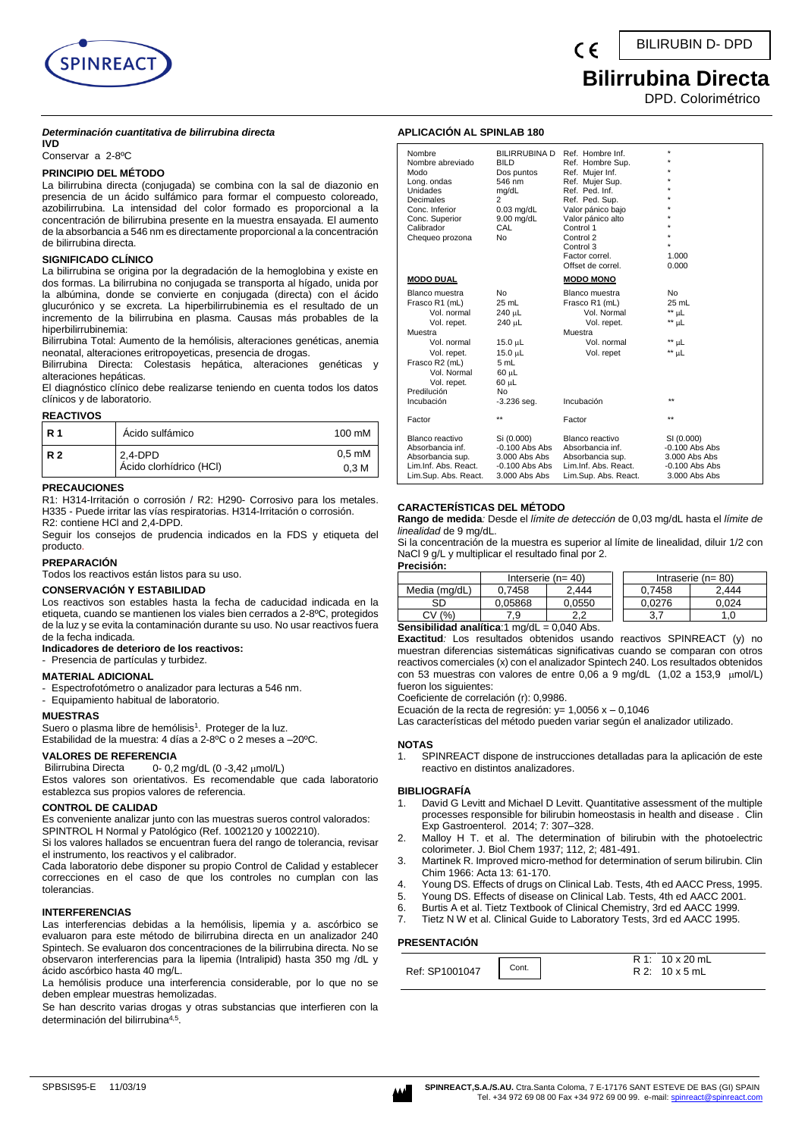

# **Bilirrubina Directa**

DPD. Colorimétrico

#### *Determinación cuantitativa de bilirrubina directa* **IVD**

Conservar a 2-8ºC

# **PRINCIPIO DEL MÉTODO**

La bilirrubina directa (conjugada) se combina con la sal de diazonio en presencia de un ácido sulfámico para formar el compuesto coloreado, azobilirrubina. La intensidad del color formado es proporcional a la concentración de bilirrubina presente en la muestra ensayada. El aumento de la absorbancia a 546 nm es directamente proporcional a la concentración de bilirrubina directa.

# **SIGNIFICADO CLÍNICO**

La bilirrubina se origina por la degradación de la hemoglobina y existe en dos formas. La bilirrubina no conjugada se transporta al hígado, unida por la albúmina, donde se convierte en conjugada (directa) con el ácido glucurónico y se excreta. La hiperbilirrubinemia es el resultado de un incremento de la bilirrubina en plasma. Causas más probables de la hiperbilirrubinemia:

Bilirrubina Total: Aumento de la hemólisis, alteraciones genéticas, anemia neonatal, alteraciones eritropoyeticas, presencia de drogas.

Bilirrubina Directa: Colestasis hepática, alteraciones genéticas y alteraciones hepáticas.

El diagnóstico clínico debe realizarse teniendo en cuenta todos los datos clínicos y de laboratorio.

#### **REACTIVOS**

| l R 1 | Ácido sulfámico                    | 100 mM                               |
|-------|------------------------------------|--------------------------------------|
| I R 2 | 2,4-DPD<br>Ácido clorhídrico (HCI) | $0.5 \text{ mM}$<br>0.3 <sub>M</sub> |

#### **PRECAUCIONES**

R1: H314-Irritación o corrosión / R2: H290- Corrosivo para los metales. H335 - Puede irritar las vías respiratorias. H314-Irritación o corrosión. R2: contiene HCl and 2,4-DPD.

Seguir los consejos de prudencia indicados en la FDS y etiqueta del producto.

# **PREPARACIÓN**

Todos los reactivos están listos para su uso.

#### **CONSERVACIÓN Y ESTABILIDAD**

Los reactivos son estables hasta la fecha de caducidad indicada en la etiqueta, cuando se mantienen los viales bien cerrados a 2-8ºC, protegidos de la luz y se evita la contaminación durante su uso. No usar reactivos fuera de la fecha indicada.

## **Indicadores de deterioro de los reactivos:**

- Presencia de partículas y turbidez.

#### **MATERIAL ADICIONAL**

- Espectrofotómetro o analizador para lecturas a 546 nm.
- Equipamiento habitual de laboratorio.

# **MUESTRAS**

Suero o plasma libre de hemólisis<sup>1</sup>. Proteger de la luz.

Estabilidad de la muestra: 4 días a 2-8ºC o 2 meses a –20ºC.

# **VALORES DE REFERENCIA**

Bilirrubina Directa 0- 0,2 mg/dL (0 -3,42 µmol/L) Estos valores son orientativos. Es recomendable que cada laboratorio establezca sus propios valores de referencia.

# **CONTROL DE CALIDAD**

Es conveniente analizar junto con las muestras sueros control valorados: SPINTROL H Normal y Patológico (Ref. 1002120 y 1002210).

Si los valores hallados se encuentran fuera del rango de tolerancia, revisar el instrumento, los reactivos y el calibrador.

Cada laboratorio debe disponer su propio Control de Calidad y establecer correcciones en el caso de que los controles no cumplan con las tolerancias.

# **INTERFERENCIAS**

Las interferencias debidas a la hemólisis, lipemia y a. ascórbico se evaluaron para este método de bilirrubina directa en un analizador 240 Spintech. Se evaluaron dos concentraciones de la bilirrubina directa. No se observaron interferencias para la lipemia (Intralipid) hasta 350 mg /dL y ácido ascórbico hasta 40 mg/L.

La hemólisis produce una interferencia considerable, por lo que no se deben emplear muestras hemolizadas.

Se han descrito varias drogas y otras substancias que interfieren con la determinación del bilirrubina<sup>4,5</sup>.

# **APLICACIÓN AL SPINLAB 180**

| Nombre<br>Nombre abreviado<br>Modo<br>Long. ondas<br>Unidades<br>Decimales<br>Conc. Inferior<br>Conc. Superior<br>Calibrador<br>Chequeo prozona                                      | <b>BILIRRUBINA D</b><br><b>BILD</b><br>Dos puntos<br>546 nm<br>mg/dL<br>$\overline{c}$<br>$0.03$ mg/dL<br>9.00 mg/dL<br>CAL<br>No | Ref. Hombre Inf.<br>Ref. Hombre Sup.<br>Ref. Mujer Inf.<br>Ref. Mujer Sup.<br>Ref. Ped. Inf.<br>Ref. Ped. Sup.<br>Valor pánico bajo<br>Valor pánico alto<br>Control 1<br>Control 2<br>Control 3<br>Factor correl.<br>Offset de correl. | $\star$<br>٠<br>1.000<br>0.000                                                             |
|--------------------------------------------------------------------------------------------------------------------------------------------------------------------------------------|-----------------------------------------------------------------------------------------------------------------------------------|----------------------------------------------------------------------------------------------------------------------------------------------------------------------------------------------------------------------------------------|--------------------------------------------------------------------------------------------|
| <b>MODO DUAL</b>                                                                                                                                                                     |                                                                                                                                   | <b>MODO MONO</b>                                                                                                                                                                                                                       |                                                                                            |
| Blanco muestra<br>Frasco R1 (mL)<br>Vol. normal<br>Vol. repet.<br>Muestra<br>Vol. normal<br>Vol. repet.<br>Frasco R2 (mL)<br>Vol. Normal<br>Vol. repet.<br>Predilución<br>Incubación | <b>No</b><br>$25$ mL<br>240 µL<br>240 uL<br>15.0 µL<br>15.0 uL<br>5 mL<br>60 µL<br>60 µL<br>No<br>$-3.236$ seq.                   | Blanco muestra<br>Frasco R1 (mL)<br>Vol. Normal<br>Vol. repet.<br>Muestra<br>Vol. normal<br>Vol. repet<br>Incubación                                                                                                                   | <b>No</b><br>25 mL<br>** µL<br>$^{\star\star}$<br>μL<br>$**$ µL<br>$**$ µL<br>$\star\star$ |
| Factor                                                                                                                                                                               | $\star\star$                                                                                                                      | Factor                                                                                                                                                                                                                                 | $\star\star$                                                                               |
| Blanco reactivo<br>Absorbancia inf.<br>Absorbancia sup.<br>Lim.Inf. Abs. React.<br>Lim.Sup. Abs. React.                                                                              | Si (0.000)<br>$-0.100$ Abs Abs<br>3.000 Abs Abs<br>$-0.100$ Abs Abs<br>3.000 Abs Abs                                              | Blanco reactivo<br>Absorbancia inf.<br>Absorbancia sup.<br>Lim.Inf. Abs. React.<br>Lim.Sup. Abs. React.                                                                                                                                | SI (0.000)<br>$-0.100$ Abs Abs<br>3.000 Abs Abs<br>$-0.100$ Abs Abs<br>3.000 Abs Abs       |

# **CARACTERÍSTICAS DEL MÉTODO**

**Rango de medida***:* Desde el *límite de detección* de 0,03 mg/dL hasta el *límite de linealidad* de 9 mg/dL.

Si la concentración de la muestra es superior al límite de linealidad, diluir 1/2 con NaCl 9 g/L y multiplicar el resultado final por 2.

| Precisión:    |                         |        |        |                         |
|---------------|-------------------------|--------|--------|-------------------------|
|               | Interserie ( $n = 40$ ) |        |        | Intraserie ( $n = 80$ ) |
| Media (mg/dL) | 0.7458                  | 2.444  | 0.7458 | 2.444                   |
| SD            | 0.05868                 | 0.0550 | 0.0276 | 0.024                   |
| (%            | 7.9                     |        | 3.7    | .0                      |

**Sensibilidad analítica**:1 mg/dL = 0,040 Abs.

**Exactitud***:* Los resultados obtenidos usando reactivos SPINREACT (y) no muestran diferencias sistemáticas significativas cuando se comparan con otros reactivos comerciales (x) con el analizador Spintech 240. Los resultados obtenidos con 53 muestras con valores de entre  $0.06$  a 9 mg/dL  $(1.02$  a 153,9  $\mu$ mol/L) fueron los siguientes:

Coeficiente de correlación (r): 0,9986.

Ecuación de la recta de regresión:  $y=$  1,0056 x - 0,1046

Las características del método pueden variar según el analizador utilizado.

#### **NOTAS**

1. SPINREACT dispone de instrucciones detalladas para la aplicación de este reactivo en distintos analizadores.

#### **BIBLIOGRAFÍA**

- 1. [David G Levitt](https://www.ncbi.nlm.nih.gov/pubmed/?term=Levitt%20DG%5BAuthor%5D&cauthor=true&cauthor_uid=25214800) an[d Michael D Levitt.](https://www.ncbi.nlm.nih.gov/pubmed/?term=Levitt%20MD%5BAuthor%5D&cauthor=true&cauthor_uid=25214800) Quantitative assessment of the multiple processes responsible for bilirubin homeostasis in health and disease . [Clin](https://www.ncbi.nlm.nih.gov/pmc/articles/PMC4159128/)  [Exp Gastroenterol.](https://www.ncbi.nlm.nih.gov/pmc/articles/PMC4159128/) 2014; 7: 307–328.
- 2. Malloy H T. et al. The determination of bilirubin with the photoelectric colorimeter. J. Biol Chem 1937; 112, 2; 481-491.
- 3. Martinek R. Improved micro-method for determination of serum bilirubin. Clin Chim 1966: Acta 13: 61-170.
- 4. Young DS. Effects of drugs on Clinical Lab. Tests, 4th ed AACC Press, 1995.
- 5. Young DS. Effects of disease on Clinical Lab. Tests, 4th ed AACC 2001.
- 6. Burtis A et al. Tietz Textbook of Clinical Chemistry, 3rd ed AACC 1999.
- 7. Tietz N W et al. Clinical Guide to Laboratory Tests, 3rd ed AACC 1995.

# **PRESENTACIÓN**

| Ref: SP1001047 | Cont. | $R_1$ : 10 x 20 mL<br>$R2: 10 \times 5$ mL |
|----------------|-------|--------------------------------------------|
|----------------|-------|--------------------------------------------|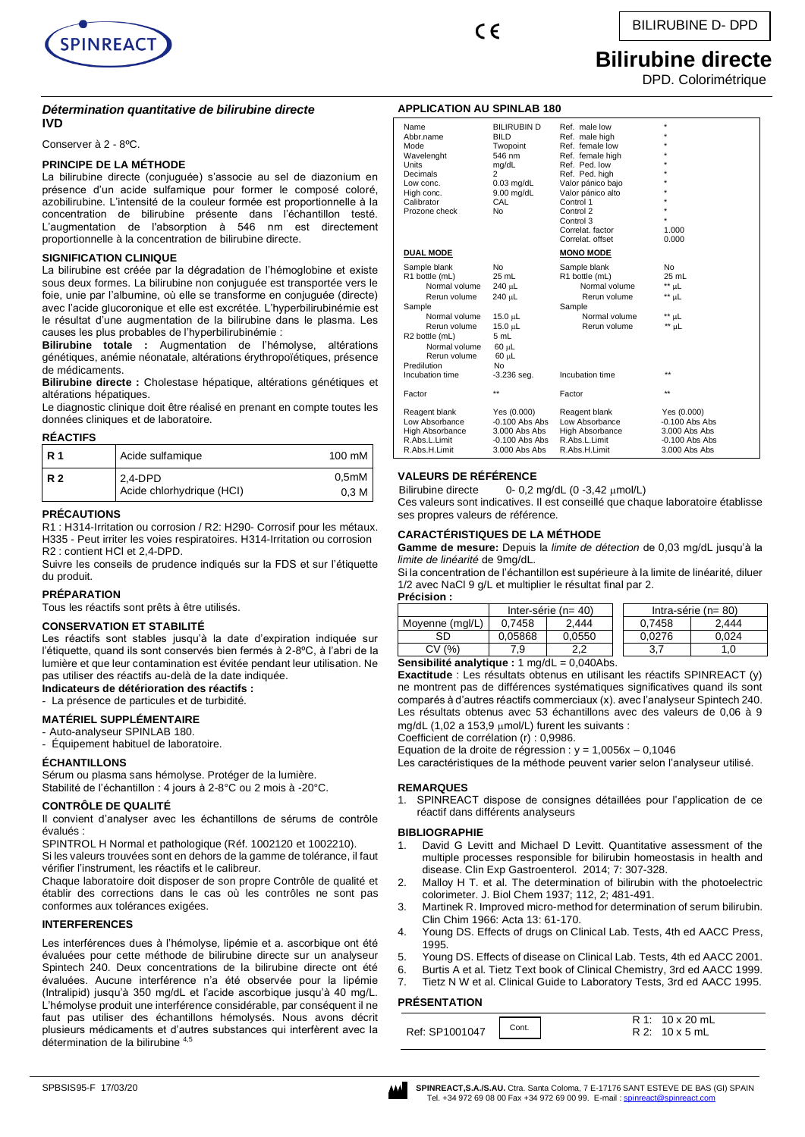

 $\epsilon$ 

**APPLICATION AU SPINLAB 180**

# **Bilirubine directe**

DPD. Colorimétrique

# *Détermination quantitative de bilirubine directe* **IVD**

Conserver à 2 - 8ºC.

# **PRINCIPE DE LA MÉTHODE**

La bilirubine directe (conjuguée) s'associe au sel de diazonium en présence d'un acide sulfamique pour former le composé coloré, azobilirubine. L'intensité de la couleur formée est proportionnelle à la concentration de bilirubine présente dans l'échantillon testé. L'augmentation de l'absorption à 546 nm est directement proportionnelle à la concentration de bilirubine directe.

# **SIGNIFICATION CLINIQUE**

La bilirubine est créée par la dégradation de l'hémoglobine et existe sous deux formes. La bilirubine non conjuguée est transportée vers le foie, unie par l'albumine, où elle se transforme en conjuguée (directe) avec l'acide glucoronique et elle est excrétée. L'hyperbilirubinémie est le résultat d'une augmentation de la bilirubine dans le plasma. Les causes les plus probables de l'hyperbilirubinémie :

**Bilirubine totale :** Augmentation de l'hémolyse, altérations génétiques, anémie néonatale, altérations érythropoïétiques, présence de médicaments.

**Bilirubine directe :** Cholestase hépatique, altérations génétiques et altérations hépatiques.

Le diagnostic clinique doit être réalisé en prenant en compte toutes les données cliniques et de laboratoire.

# **RÉACTIFS**

| I R 1     | Acide sulfamique                     | 100 mM                    |
|-----------|--------------------------------------|---------------------------|
| <b>R2</b> | 2,4-DPD<br>Acide chlorhydrique (HCI) | 0,5mM<br>0.3 <sub>M</sub> |

# **PRÉCAUTIONS**

R1 : H314-Irritation ou corrosion / R2: H290- Corrosif pour les métaux. H335 - Peut irriter les voies respiratoires. H314-Irritation ou corrosion R2 : contient HCl et 2,4-DPD.

Suivre les conseils de prudence indiqués sur la FDS et sur l'étiquette du produit.

# **PRÉPARATION**

Tous les réactifs sont prêts à être utilisés.

# **CONSERVATION ET STABILITÉ**

Les réactifs sont stables jusqu'à la date d'expiration indiquée sur l'étiquette, quand ils sont conservés bien fermés à 2-8ºC, à l'abri de la lumière et que leur contamination est évitée pendant leur utilisation. Ne pas utiliser des réactifs au-delà de la date indiquée. **Indicateurs de détérioration des réactifs :**

- La présence de particules et de turbidité.

# **MATÉRIEL SUPPLÉMENTAIRE**

- Auto-analyseur SPINLAB 180.

- Équipement habituel de laboratoire.

# **ÉCHANTILLONS**

Sérum ou plasma sans hémolyse. Protéger de la lumière. Stabilité de l'échantillon : 4 jours à 2-8°C ou 2 mois à -20°C.

# **CONTRÔLE DE QUALITÉ**

Il convient d'analyser avec les échantillons de sérums de contrôle évalués :

SPINTROL H Normal et pathologique (Réf. 1002120 et 1002210). Si les valeurs trouvées sont en dehors de la gamme de tolérance, il faut vérifier l'instrument, les réactifs et le calibreur.

Chaque laboratoire doit disposer de son propre Contrôle de qualité et établir des corrections dans le cas où les contrôles ne sont pas conformes aux tolérances exigées.

# **INTERFERENCES**

Les interférences dues à l'hémolyse, lipémie et a. ascorbique ont été évaluées pour cette méthode de bilirubine directe sur un analyseur Spintech 240. Deux concentrations de la bilirubine directe ont été évaluées. Aucune interférence n'a été observée pour la lipémie (Intralipid) jusqu'à 350 mg/dL et l'acide ascorbique jusqu'à 40 mg/L. L'hémolyse produit une interférence considérable, par conséquent il ne faut pas utiliser des échantillons hémolysés. Nous avons décrit plusieurs médicaments et d'autres substances qui interfèrent avec la détermination de la bilirubine 4,5

| Name<br>Abbr.name<br>Mode<br>Wavelenght<br>Units<br>Decimals<br>Low conc.<br>High conc.<br>Calibrator<br>Prozone check                                                       | <b>BILIRUBIN D</b><br><b>BILD</b><br>Twopoint<br>546 nm<br>mg/dL<br>2<br>$0.03$ mg/dL<br>$9.00$ mg/dL<br>CAL<br><b>No</b> | Ref. male low<br>Ref. male high<br>Ref. female low<br>Ref. female high<br>Ref. Ped. low<br>Ref. Ped. high<br>Valor pánico bajo<br>Valor pánico alto<br>Control 1<br>Control 2<br>Control 3<br>Correlat, factor<br>Correlat, offset | ÷<br>1.000<br>0.000                                                                   |
|------------------------------------------------------------------------------------------------------------------------------------------------------------------------------|---------------------------------------------------------------------------------------------------------------------------|------------------------------------------------------------------------------------------------------------------------------------------------------------------------------------------------------------------------------------|---------------------------------------------------------------------------------------|
| <b>DUAL MODE</b>                                                                                                                                                             |                                                                                                                           | <b>MONO MODE</b>                                                                                                                                                                                                                   |                                                                                       |
| Sample blank<br>R1 bottle (mL)<br>Normal volume<br>Rerun volume<br>Sample<br>Normal volume<br>Rerun volume<br>R2 bottle (mL)<br>Normal volume<br>Rerun volume<br>Predilution | <b>No</b><br>$25$ mL<br>240 µL<br>240 µL<br>$15.0 \mu L$<br>15.0 µL<br>5 mL<br>$60$ $\mu$ L<br>60 µL<br>No                | Sample blank<br>R1 bottle (mL)<br>Normal volume<br>Rerun volume<br>Sample<br>Normal volume<br>Rerun volume                                                                                                                         | N <sub>o</sub><br>25 mL<br>$**$ µL<br>** µL<br>** uL<br>** µL<br>$\star\star$         |
| Incubation time                                                                                                                                                              | $-3.236$ seq.                                                                                                             | Incubation time                                                                                                                                                                                                                    |                                                                                       |
| Factor                                                                                                                                                                       | $\star\star$                                                                                                              | Factor                                                                                                                                                                                                                             | $\star\star$                                                                          |
| Reagent blank<br>Low Absorbance<br>High Absorbance<br>R.Abs.L.Limit<br>R.Abs.H.Limit                                                                                         | Yes (0.000)<br>$-0.100$ Abs Abs<br>3.000 Abs Abs<br>$-0.100$ Abs Abs<br>3.000 Abs Abs                                     | Reagent blank<br>Low Absorbance<br><b>High Absorbance</b><br>R.Abs.L.Limit<br>R.Abs.H.Limit                                                                                                                                        | Yes (0.000)<br>$-0.100$ Abs Abs<br>3.000 Abs Abs<br>$-0.100$ Abs Abs<br>3.000 Abs Abs |

# **VALEURS DE RÉFÉRENCE**

Bilirubine directe  $0 - 0.2$  mg/dL  $(0 -3.42 \mu \text{mol/L})$ Ces valeurs sont indicatives. Il est conseillé que chaque laboratoire établisse ses propres valeurs de référence.

# **CARACTÉRISTIQUES DE LA MÉTHODE**

**Gamme de mesure:** Depuis la *limite de détection* de 0,03 mg/dL jusqu'à la *limite de linéarité* de 9mg/dL.

Si la concentration de l'échantillon est supérieure à la limite de linéarité, diluer 1/2 avec NaCl 9 g/L et multiplier le résultat final par 2.

**Précision :**

| .                   |                          |            |  |                          |       |  |
|---------------------|--------------------------|------------|--|--------------------------|-------|--|
|                     | Inter-série ( $n = 40$ ) |            |  | Intra-série ( $n = 80$ ) |       |  |
| Movenne (mal/L)     | 0.7458                   | 2.444      |  | 0.7458                   | 2.444 |  |
| SD                  | 0.05868                  | 0.0550     |  | 0.0276                   | 0.024 |  |
| (% )<br>C۷          | 7.9                      | າ າ<br>ے.۔ |  | 3.7                      | 1.0   |  |
| -------<br>$\cdots$ |                          |            |  |                          |       |  |

**Sensibilité analytique :** 1 mg/dL = 0,040Abs.

**Exactitude** : Les résultats obtenus en utilisant les réactifs SPINREACT (y) ne montrent pas de différences systématiques significatives quand ils sont comparés à d'autres réactifs commerciaux (x). avec l'analyseur Spintech 240. Les résultats obtenus avec 53 échantillons avec des valeurs de 0,06 à 9 mg/dL (1,02 a 153,9 µmol/L) furent les suivants :

Coefficient de corrélation (r) : 0,9986.

Equation de la droite de régression :  $y = 1,0056x - 0,1046$ 

Les caractéristiques de la méthode peuvent varier selon l'analyseur utilisé.

# **REMARQUES**

1. SPINREACT dispose de consignes détaillées pour l'application de ce réactif dans différents analyseurs

# **BIBLIOGRAPHIE**

- David G Levitt and Michael D Levitt. Quantitative assessment of the multiple processes responsible for bilirubin homeostasis in health and disease. Clin Exp Gastroenterol. 2014; 7: 307-328.
- 2. Malloy H T. et al. The determination of bilirubin with the photoelectric colorimeter. J. Biol Chem 1937; 112, 2; 481-491.
- 3. Martinek R. Improved micro-method for determination of serum bilirubin. Clin Chim 1966: Acta 13: 61-170.
- 4. Young DS. Effects of drugs on Clinical Lab. Tests, 4th ed AACC Press, 1995.
- 5. Young DS. Effects of disease on Clinical Lab. Tests, 4th ed AACC 2001.
- 6. Burtis A et al. Tietz Text book of Clinical Chemistry, 3rd ed AACC 1999.
- 7. Tietz N W et al. Clinical Guide to Laboratory Tests, 3rd ed AACC 1995.

# **PRÉSENTATION**

|                | Cont. | R 1: 10 x 20 mL      |
|----------------|-------|----------------------|
| Ref: SP1001047 |       | $R2: 10 \times 5$ mL |